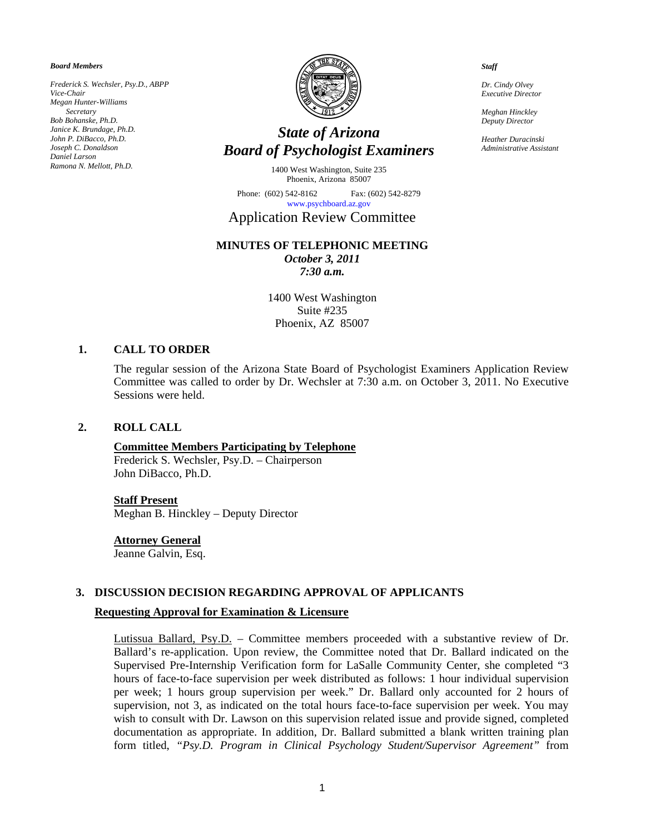*Board Members* 

*Frederick S. Wechsler, Psy.D., ABPP Vice-Chair Megan Hunter-Williams Secretary Bob Bohanske, Ph.D. Janice K. Brundage, Ph.D. John P. DiBacco, Ph.D. Joseph C. Donaldson Daniel Larson Ramona N. Mellott, Ph.D.* 



# *State of Arizona Board of Psychologist Examiners*

1400 West Washington, Suite 235 Phoenix, Arizona 85007

Phone: (602) 542-8162 Fax: (602) 542-8279 [www.psychboard.az.gov](http://www.psychboard.az.gov/) 

# Application Review Committee

# **MINUTES OF TELEPHONIC MEETING**

*October 3, 2011 7:30 a.m.* 

1400 West Washington Suite #235 Phoenix, AZ 85007

### **1. CALL TO ORDER**

The regular session of the Arizona State Board of Psychologist Examiners Application Review Committee was called to order by Dr. Wechsler at 7:30 a.m. on October 3, 2011. No Executive Sessions were held.

### **2. ROLL CALL**

# **Committee Members Participating by Telephone**

Frederick S. Wechsler, Psy.D. – Chairperson John DiBacco, Ph.D.

#### **Staff Present**

Meghan B. Hinckley – Deputy Director

#### **Attorney General**

Jeanne Galvin, Esq.

### **3. DISCUSSION DECISION REGARDING APPROVAL OF APPLICANTS**

#### **Requesting Approval for Examination & Licensure**

Lutissua Ballard, Psy.D. – Committee members proceeded with a substantive review of Dr. Ballard's re-application. Upon review, the Committee noted that Dr. Ballard indicated on the Supervised Pre-Internship Verification form for LaSalle Community Center, she completed "3 hours of face-to-face supervision per week distributed as follows: 1 hour individual supervision per week; 1 hours group supervision per week." Dr. Ballard only accounted for 2 hours of supervision, not 3, as indicated on the total hours face-to-face supervision per week. You may wish to consult with Dr. Lawson on this supervision related issue and provide signed, completed documentation as appropriate. In addition, Dr. Ballard submitted a blank written training plan form titled, *"Psy.D. Program in Clinical Psychology Student/Supervisor Agreement"* from

*Staff* 

*Dr. Cindy Olvey Executive Director* 

*Meghan Hinckley Deputy Director* 

*Heather Duracinski Administrative Assistant*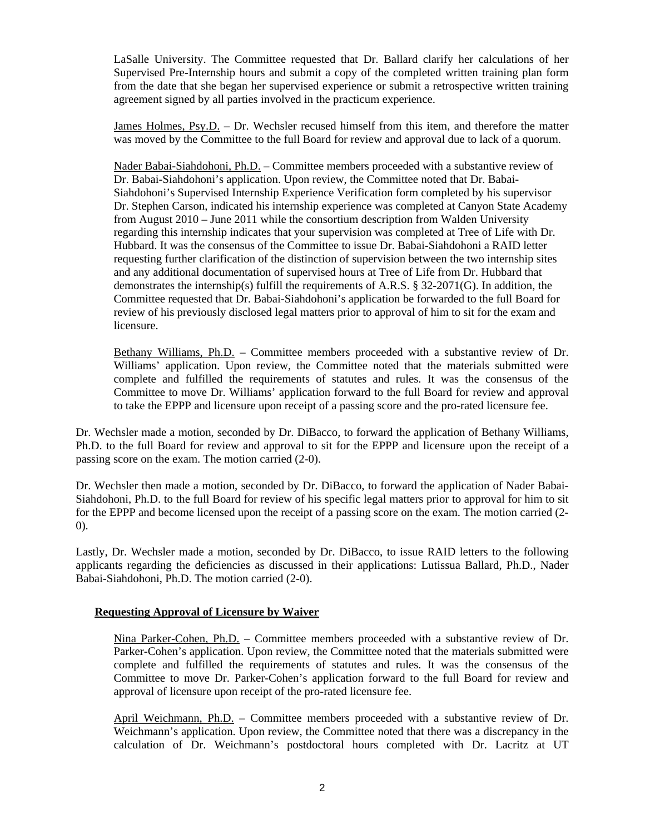LaSalle University. The Committee requested that Dr. Ballard clarify her calculations of her Supervised Pre-Internship hours and submit a copy of the completed written training plan form from the date that she began her supervised experience or submit a retrospective written training agreement signed by all parties involved in the practicum experience.

James Holmes, Psy.D. – Dr. Wechsler recused himself from this item, and therefore the matter was moved by the Committee to the full Board for review and approval due to lack of a quorum.

Nader Babai-Siahdohoni, Ph.D. – Committee members proceeded with a substantive review of Dr. Babai-Siahdohoni's application. Upon review, the Committee noted that Dr. Babai-Siahdohoni's Supervised Internship Experience Verification form completed by his supervisor Dr. Stephen Carson, indicated his internship experience was completed at Canyon State Academy from August 2010 – June 2011 while the consortium description from Walden University regarding this internship indicates that your supervision was completed at Tree of Life with Dr. Hubbard. It was the consensus of the Committee to issue Dr. Babai-Siahdohoni a RAID letter requesting further clarification of the distinction of supervision between the two internship sites and any additional documentation of supervised hours at Tree of Life from Dr. Hubbard that demonstrates the internship(s) fulfill the requirements of A.R.S.  $\S$  32-2071(G). In addition, the Committee requested that Dr. Babai-Siahdohoni's application be forwarded to the full Board for review of his previously disclosed legal matters prior to approval of him to sit for the exam and licensure.

Bethany Williams, Ph.D. – Committee members proceeded with a substantive review of Dr. Williams' application. Upon review, the Committee noted that the materials submitted were complete and fulfilled the requirements of statutes and rules. It was the consensus of the Committee to move Dr. Williams' application forward to the full Board for review and approval to take the EPPP and licensure upon receipt of a passing score and the pro-rated licensure fee.

Dr. Wechsler made a motion, seconded by Dr. DiBacco, to forward the application of Bethany Williams, Ph.D. to the full Board for review and approval to sit for the EPPP and licensure upon the receipt of a passing score on the exam. The motion carried (2-0).

Dr. Wechsler then made a motion, seconded by Dr. DiBacco, to forward the application of Nader Babai-Siahdohoni, Ph.D. to the full Board for review of his specific legal matters prior to approval for him to sit for the EPPP and become licensed upon the receipt of a passing score on the exam. The motion carried (2- 0).

Lastly, Dr. Wechsler made a motion, seconded by Dr. DiBacco, to issue RAID letters to the following applicants regarding the deficiencies as discussed in their applications: Lutissua Ballard, Ph.D., Nader Babai-Siahdohoni, Ph.D. The motion carried (2-0).

# **Requesting Approval of Licensure by Waiver**

Nina Parker-Cohen, Ph.D. – Committee members proceeded with a substantive review of Dr. Parker-Cohen's application. Upon review, the Committee noted that the materials submitted were complete and fulfilled the requirements of statutes and rules. It was the consensus of the Committee to move Dr. Parker-Cohen's application forward to the full Board for review and approval of licensure upon receipt of the pro-rated licensure fee.

April Weichmann, Ph.D. – Committee members proceeded with a substantive review of Dr. Weichmann's application. Upon review, the Committee noted that there was a discrepancy in the calculation of Dr. Weichmann's postdoctoral hours completed with Dr. Lacritz at UT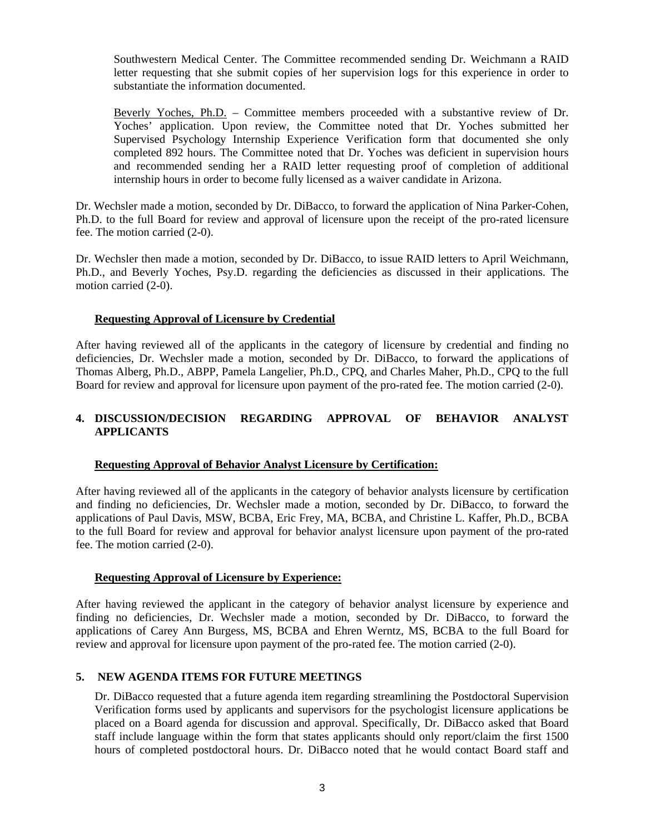Southwestern Medical Center. The Committee recommended sending Dr. Weichmann a RAID letter requesting that she submit copies of her supervision logs for this experience in order to substantiate the information documented.

Beverly Yoches, Ph.D. - Committee members proceeded with a substantive review of Dr. Yoches' application. Upon review, the Committee noted that Dr. Yoches submitted her Supervised Psychology Internship Experience Verification form that documented she only completed 892 hours. The Committee noted that Dr. Yoches was deficient in supervision hours and recommended sending her a RAID letter requesting proof of completion of additional internship hours in order to become fully licensed as a waiver candidate in Arizona.

Dr. Wechsler made a motion, seconded by Dr. DiBacco, to forward the application of Nina Parker-Cohen, Ph.D. to the full Board for review and approval of licensure upon the receipt of the pro-rated licensure fee. The motion carried (2-0).

Dr. Wechsler then made a motion, seconded by Dr. DiBacco, to issue RAID letters to April Weichmann, Ph.D., and Beverly Yoches, Psy.D. regarding the deficiencies as discussed in their applications. The motion carried (2-0).

# **Requesting Approval of Licensure by Credential**

After having reviewed all of the applicants in the category of licensure by credential and finding no deficiencies, Dr. Wechsler made a motion, seconded by Dr. DiBacco, to forward the applications of Thomas Alberg, Ph.D., ABPP, Pamela Langelier, Ph.D., CPQ, and Charles Maher, Ph.D., CPQ to the full Board for review and approval for licensure upon payment of the pro-rated fee. The motion carried (2-0).

# **4. DISCUSSION/DECISION REGARDING APPROVAL OF BEHAVIOR ANALYST APPLICANTS**

# **Requesting Approval of Behavior Analyst Licensure by Certification:**

After having reviewed all of the applicants in the category of behavior analysts licensure by certification and finding no deficiencies, Dr. Wechsler made a motion, seconded by Dr. DiBacco, to forward the applications of Paul Davis, MSW, BCBA, Eric Frey, MA, BCBA, and Christine L. Kaffer, Ph.D., BCBA to the full Board for review and approval for behavior analyst licensure upon payment of the pro-rated fee. The motion carried (2-0).

# **Requesting Approval of Licensure by Experience:**

After having reviewed the applicant in the category of behavior analyst licensure by experience and finding no deficiencies, Dr. Wechsler made a motion, seconded by Dr. DiBacco, to forward the applications of Carey Ann Burgess, MS, BCBA and Ehren Werntz, MS, BCBA to the full Board for review and approval for licensure upon payment of the pro-rated fee. The motion carried (2-0).

# **5. NEW AGENDA ITEMS FOR FUTURE MEETINGS**

Dr. DiBacco requested that a future agenda item regarding streamlining the Postdoctoral Supervision Verification forms used by applicants and supervisors for the psychologist licensure applications be placed on a Board agenda for discussion and approval. Specifically, Dr. DiBacco asked that Board staff include language within the form that states applicants should only report/claim the first 1500 hours of completed postdoctoral hours. Dr. DiBacco noted that he would contact Board staff and